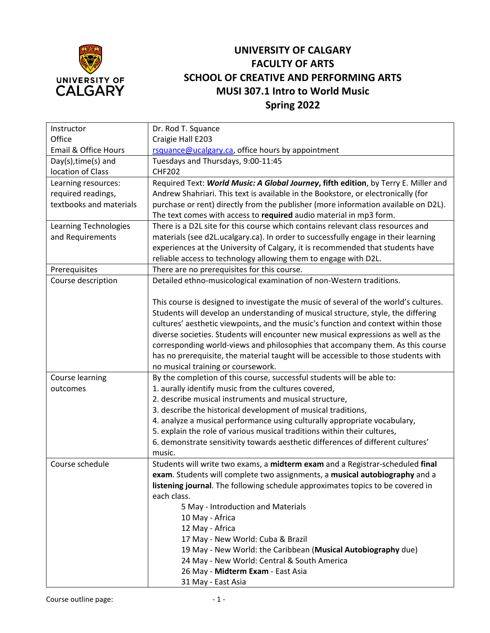

## **UNIVERSITY OF CALGARY FACULTY OF ARTS SCHOOL OF CREATIVE AND PERFORMING ARTS MUSI 307.1 Intro to World Music Spring 2022**

| Instructor              | Dr. Rod T. Squance                                                                   |
|-------------------------|--------------------------------------------------------------------------------------|
| Office                  | Craigie Hall E203                                                                    |
| Email & Office Hours    | rsquance@ucalgary.ca, office hours by appointment                                    |
| Day(s), time(s) and     | Tuesdays and Thursdays, 9:00-11:45                                                   |
| location of Class       | <b>CHF202</b>                                                                        |
| Learning resources:     | Required Text: World Music: A Global Journey, fifth edition, by Terry E. Miller and  |
| required readings,      | Andrew Shahriari. This text is available in the Bookstore, or electronically (for    |
| textbooks and materials | purchase or rent) directly from the publisher (more information available on D2L).   |
|                         | The text comes with access to required audio material in mp3 form.                   |
| Learning Technologies   | There is a D2L site for this course which contains relevant class resources and      |
| and Requirements        | materials (see d2L.ucalgary.ca). In order to successfully engage in their learning   |
|                         | experiences at the University of Calgary, it is recommended that students have       |
|                         | reliable access to technology allowing them to engage with D2L.                      |
| Prerequisites           | There are no prerequisites for this course.                                          |
| Course description      | Detailed ethno-musicological examination of non-Western traditions.                  |
|                         |                                                                                      |
|                         | This course is designed to investigate the music of several of the world's cultures. |
|                         | Students will develop an understanding of musical structure, style, the differing    |
|                         | cultures' aesthetic viewpoints, and the music's function and context within those    |
|                         | diverse societies. Students will encounter new musical expressions as well as the    |
|                         | corresponding world-views and philosophies that accompany them. As this course       |
|                         | has no prerequisite, the material taught will be accessible to those students with   |
|                         | no musical training or coursework.                                                   |
| Course learning         | By the completion of this course, successful students will be able to:               |
| outcomes                | 1. aurally identify music from the cultures covered,                                 |
|                         | 2. describe musical instruments and musical structure,                               |
|                         | 3. describe the historical development of musical traditions,                        |
|                         | 4. analyze a musical performance using culturally appropriate vocabulary,            |
|                         | 5. explain the role of various musical traditions within their cultures,             |
|                         | 6. demonstrate sensitivity towards aesthetic differences of different cultures'      |
|                         | music.                                                                               |
| Course schedule         | Students will write two exams, a midterm exam and a Registrar-scheduled final        |
|                         | exam. Students will complete two assignments, a musical autobiography and a          |
|                         | listening journal. The following schedule approximates topics to be covered in       |
|                         | each class.                                                                          |
|                         | 5 May - Introduction and Materials                                                   |
|                         | 10 May - Africa                                                                      |
|                         | 12 May - Africa                                                                      |
|                         | 17 May - New World: Cuba & Brazil                                                    |
|                         | 19 May - New World: the Caribbean (Musical Autobiography due)                        |
|                         | 24 May - New World: Central & South America                                          |
|                         | 26 May - Midterm Exam - East Asia                                                    |
|                         | 31 May - East Asia                                                                   |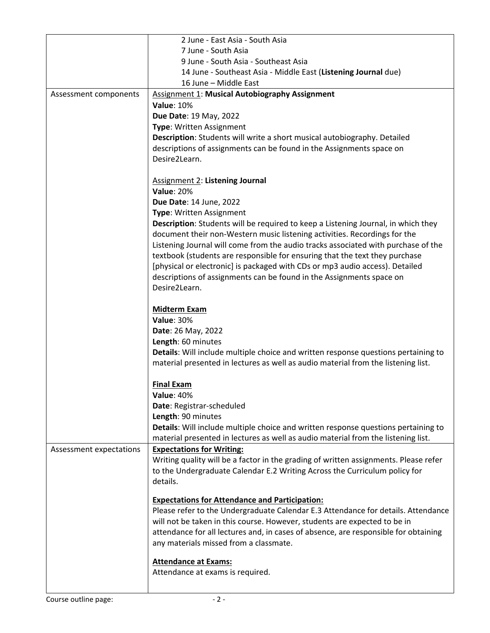|                         | 2 June - East Asia - South Asia                                                                                                                                         |
|-------------------------|-------------------------------------------------------------------------------------------------------------------------------------------------------------------------|
|                         | 7 June - South Asia                                                                                                                                                     |
|                         | 9 June - South Asia - Southeast Asia                                                                                                                                    |
|                         | 14 June - Southeast Asia - Middle East (Listening Journal due)                                                                                                          |
|                         | 16 June - Middle East                                                                                                                                                   |
| Assessment components   | Assignment 1: Musical Autobiography Assignment                                                                                                                          |
|                         | <b>Value: 10%</b>                                                                                                                                                       |
|                         | Due Date: 19 May, 2022                                                                                                                                                  |
|                         | Type: Written Assignment                                                                                                                                                |
|                         | Description: Students will write a short musical autobiography. Detailed                                                                                                |
|                         | descriptions of assignments can be found in the Assignments space on                                                                                                    |
|                         | Desire2Learn.                                                                                                                                                           |
|                         |                                                                                                                                                                         |
|                         | <b>Assignment 2: Listening Journal</b><br><b>Value: 20%</b>                                                                                                             |
|                         | Due Date: 14 June, 2022                                                                                                                                                 |
|                         | Type: Written Assignment                                                                                                                                                |
|                         | Description: Students will be required to keep a Listening Journal, in which they                                                                                       |
|                         | document their non-Western music listening activities. Recordings for the                                                                                               |
|                         | Listening Journal will come from the audio tracks associated with purchase of the                                                                                       |
|                         | textbook (students are responsible for ensuring that the text they purchase                                                                                             |
|                         | [physical or electronic] is packaged with CDs or mp3 audio access). Detailed                                                                                            |
|                         | descriptions of assignments can be found in the Assignments space on                                                                                                    |
|                         | Desire2Learn.                                                                                                                                                           |
|                         | <b>Midterm Exam</b><br><b>Value: 30%</b>                                                                                                                                |
|                         |                                                                                                                                                                         |
|                         | Date: 26 May, 2022                                                                                                                                                      |
|                         | Length: 60 minutes                                                                                                                                                      |
|                         | Details: Will include multiple choice and written response questions pertaining to<br>material presented in lectures as well as audio material from the listening list. |
|                         | <b>Final Exam</b>                                                                                                                                                       |
|                         | <b>Value: 40%</b>                                                                                                                                                       |
|                         | Date: Registrar-scheduled                                                                                                                                               |
|                         | Length: 90 minutes                                                                                                                                                      |
|                         | Details: Will include multiple choice and written response questions pertaining to                                                                                      |
|                         | material presented in lectures as well as audio material from the listening list.                                                                                       |
| Assessment expectations | <b>Expectations for Writing:</b>                                                                                                                                        |
|                         | Writing quality will be a factor in the grading of written assignments. Please refer                                                                                    |
|                         | to the Undergraduate Calendar E.2 Writing Across the Curriculum policy for                                                                                              |
|                         | details.                                                                                                                                                                |
|                         | <b>Expectations for Attendance and Participation:</b>                                                                                                                   |
|                         | Please refer to the Undergraduate Calendar E.3 Attendance for details. Attendance                                                                                       |
|                         | will not be taken in this course. However, students are expected to be in                                                                                               |
|                         | attendance for all lectures and, in cases of absence, are responsible for obtaining                                                                                     |
|                         | any materials missed from a classmate.                                                                                                                                  |
|                         | <b>Attendance at Exams:</b>                                                                                                                                             |
|                         | Attendance at exams is required.                                                                                                                                        |
|                         |                                                                                                                                                                         |
|                         |                                                                                                                                                                         |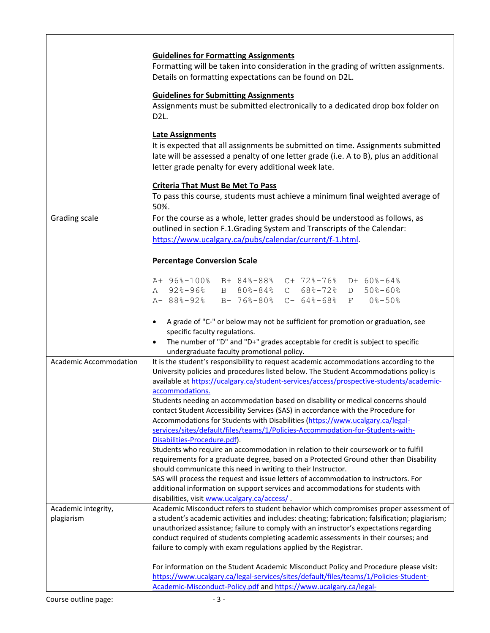|                        | <b>Guidelines for Formatting Assignments</b><br>Formatting will be taken into consideration in the grading of written assignments.<br>Details on formatting expectations can be found on D2L.<br><b>Guidelines for Submitting Assignments</b><br>Assignments must be submitted electronically to a dedicated drop box folder on<br>D <sub>2</sub> L.<br><b>Late Assignments</b><br>It is expected that all assignments be submitted on time. Assignments submitted<br>late will be assessed a penalty of one letter grade (i.e. A to B), plus an additional<br>letter grade penalty for every additional week late.<br><b>Criteria That Must Be Met To Pass</b><br>To pass this course, students must achieve a minimum final weighted average of |
|------------------------|---------------------------------------------------------------------------------------------------------------------------------------------------------------------------------------------------------------------------------------------------------------------------------------------------------------------------------------------------------------------------------------------------------------------------------------------------------------------------------------------------------------------------------------------------------------------------------------------------------------------------------------------------------------------------------------------------------------------------------------------------|
|                        | 50%.                                                                                                                                                                                                                                                                                                                                                                                                                                                                                                                                                                                                                                                                                                                                              |
| Grading scale          | For the course as a whole, letter grades should be understood as follows, as<br>outlined in section F.1.Grading System and Transcripts of the Calendar:<br>https://www.ucalgary.ca/pubs/calendar/current/f-1.html.                                                                                                                                                                                                                                                                                                                                                                                                                                                                                                                                |
|                        | <b>Percentage Conversion Scale</b>                                                                                                                                                                                                                                                                                                                                                                                                                                                                                                                                                                                                                                                                                                                |
|                        | A+ 96%-100% B+ 84%-88% C+ 72%-76% D+ 60%-64%<br>A 92%-96% B 80%-84% C 68%-72% D 50%-60%<br>A-88%-92% B-76%-80% C-64%-68% F 0%-50%                                                                                                                                                                                                                                                                                                                                                                                                                                                                                                                                                                                                                 |
|                        | A grade of "C-" or below may not be sufficient for promotion or graduation, see<br>$\bullet$<br>specific faculty regulations.<br>The number of "D" and "D+" grades acceptable for credit is subject to specific<br>$\bullet$<br>undergraduate faculty promotional policy.                                                                                                                                                                                                                                                                                                                                                                                                                                                                         |
| Academic Accommodation | It is the student's responsibility to request academic accommodations according to the<br>University policies and procedures listed below. The Student Accommodations policy is<br>available at https://ucalgary.ca/student-services/access/prospective-students/academic-                                                                                                                                                                                                                                                                                                                                                                                                                                                                        |
|                        | accommodations.<br>Students needing an accommodation based on disability or medical concerns should<br>contact Student Accessibility Services (SAS) in accordance with the Procedure for<br>Accommodations for Students with Disabilities (https://www.ucalgary.ca/legal-<br>services/sites/default/files/teams/1/Policies-Accommodation-for-Students-with-<br>Disabilities-Procedure.pdf).                                                                                                                                                                                                                                                                                                                                                       |
|                        | Students who require an accommodation in relation to their coursework or to fulfill<br>requirements for a graduate degree, based on a Protected Ground other than Disability<br>should communicate this need in writing to their Instructor.<br>SAS will process the request and issue letters of accommodation to instructors. For<br>additional information on support services and accommodations for students with<br>disabilities, visit www.ucalgary.ca/access/.                                                                                                                                                                                                                                                                            |
| Academic integrity,    | Academic Misconduct refers to student behavior which compromises proper assessment of                                                                                                                                                                                                                                                                                                                                                                                                                                                                                                                                                                                                                                                             |
| plagiarism             | a student's academic activities and includes: cheating; fabrication; falsification; plagiarism;<br>unauthorized assistance; failure to comply with an instructor's expectations regarding<br>conduct required of students completing academic assessments in their courses; and<br>failure to comply with exam regulations applied by the Registrar.                                                                                                                                                                                                                                                                                                                                                                                              |
|                        | For information on the Student Academic Misconduct Policy and Procedure please visit:<br>https://www.ucalgary.ca/legal-services/sites/default/files/teams/1/Policies-Student-<br>Academic-Misconduct-Policy.pdf and https://www.ucalgary.ca/legal-                                                                                                                                                                                                                                                                                                                                                                                                                                                                                                |